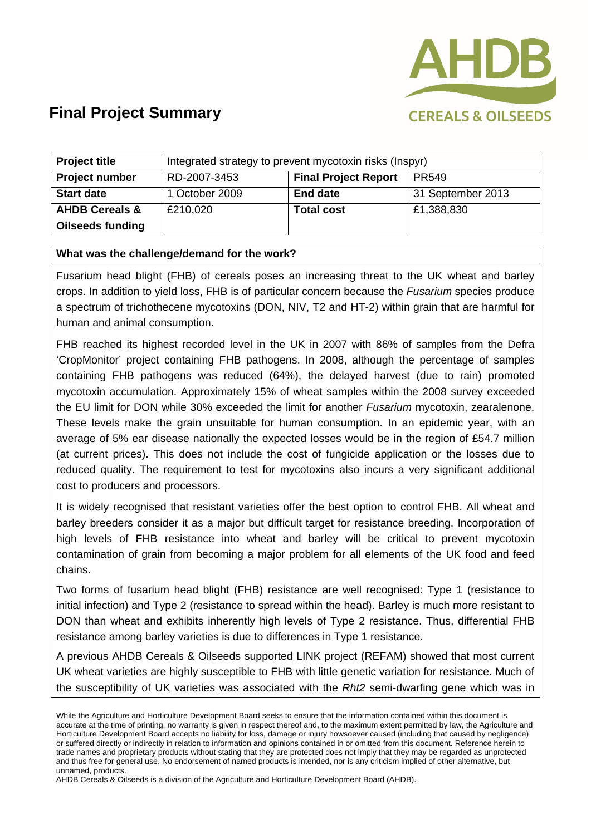

| <b>Project title</b>      | Integrated strategy to prevent mycotoxin risks (Inspyr) |                             |                   |
|---------------------------|---------------------------------------------------------|-----------------------------|-------------------|
| <b>Project number</b>     | RD-2007-3453                                            | <b>Final Project Report</b> | PR <sub>549</sub> |
| <b>Start date</b>         | 1 October 2009                                          | <b>End date</b>             | 31 September 2013 |
| <b>AHDB Cereals &amp;</b> | £210,020                                                | <b>Total cost</b>           | £1,388,830        |
| <b>Oilseeds funding</b>   |                                                         |                             |                   |

#### **What was the challenge/demand for the work?**

Fusarium head blight (FHB) of cereals poses an increasing threat to the UK wheat and barley crops. In addition to yield loss, FHB is of particular concern because the *Fusarium* species produce a spectrum of trichothecene mycotoxins (DON, NIV, T2 and HT-2) within grain that are harmful for human and animal consumption.

FHB reached its highest recorded level in the UK in 2007 with 86% of samples from the Defra 'CropMonitor' project containing FHB pathogens. In 2008, although the percentage of samples containing FHB pathogens was reduced (64%), the delayed harvest (due to rain) promoted mycotoxin accumulation. Approximately 15% of wheat samples within the 2008 survey exceeded the EU limit for DON while 30% exceeded the limit for another *Fusarium* mycotoxin, zearalenone. These levels make the grain unsuitable for human consumption. In an epidemic year, with an average of 5% ear disease nationally the expected losses would be in the region of £54.7 million (at current prices). This does not include the cost of fungicide application or the losses due to reduced quality. The requirement to test for mycotoxins also incurs a very significant additional cost to producers and processors.

It is widely recognised that resistant varieties offer the best option to control FHB. All wheat and barley breeders consider it as a major but difficult target for resistance breeding. Incorporation of high levels of FHB resistance into wheat and barley will be critical to prevent mycotoxin contamination of grain from becoming a major problem for all elements of the UK food and feed chains.

Two forms of fusarium head blight (FHB) resistance are well recognised: Type 1 (resistance to initial infection) and Type 2 (resistance to spread within the head). Barley is much more resistant to DON than wheat and exhibits inherently high levels of Type 2 resistance. Thus, differential FHB resistance among barley varieties is due to differences in Type 1 resistance.

A previous AHDB Cereals & Oilseeds supported LINK project (REFAM) showed that most current UK wheat varieties are highly susceptible to FHB with little genetic variation for resistance. Much of the susceptibility of UK varieties was associated with the *Rht2* semi-dwarfing gene which was in

AHDB Cereals & Oilseeds is a division of the Agriculture and Horticulture Development Board (AHDB).

While the Agriculture and Horticulture Development Board seeks to ensure that the information contained within this document is accurate at the time of printing, no warranty is given in respect thereof and, to the maximum extent permitted by law, the Agriculture and Horticulture Development Board accepts no liability for loss, damage or injury howsoever caused (including that caused by negligence) or suffered directly or indirectly in relation to information and opinions contained in or omitted from this document. Reference herein to trade names and proprietary products without stating that they are protected does not imply that they may be regarded as unprotected and thus free for general use. No endorsement of named products is intended, nor is any criticism implied of other alternative, but unnamed, products.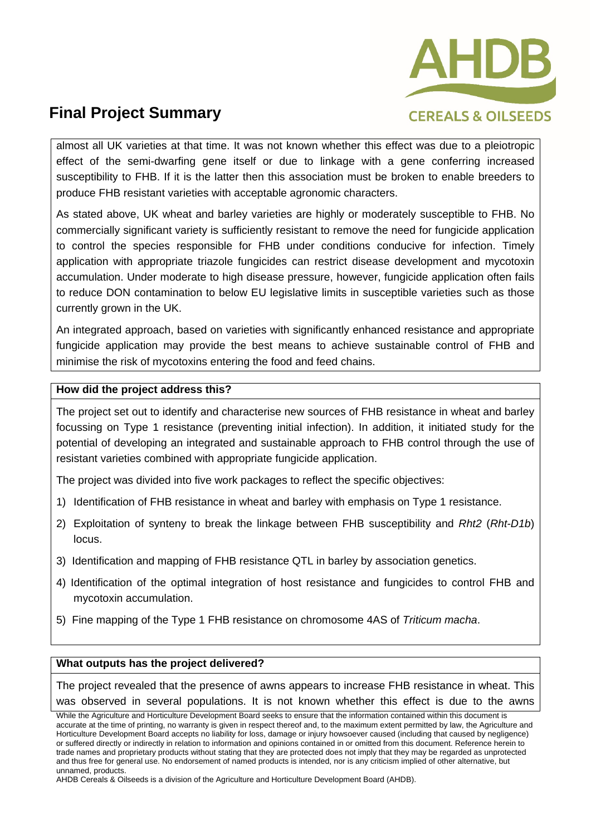

**CEREALS & OILSEEDS** 

almost all UK varieties at that time. It was not known whether this effect was due to a pleiotropic effect of the semi-dwarfing gene itself or due to linkage with a gene conferring increased susceptibility to FHB. If it is the latter then this association must be broken to enable breeders to produce FHB resistant varieties with acceptable agronomic characters.

As stated above, UK wheat and barley varieties are highly or moderately susceptible to FHB. No commercially significant variety is sufficiently resistant to remove the need for fungicide application to control the species responsible for FHB under conditions conducive for infection. Timely application with appropriate triazole fungicides can restrict disease development and mycotoxin accumulation. Under moderate to high disease pressure, however, fungicide application often fails to reduce DON contamination to below EU legislative limits in susceptible varieties such as those currently grown in the UK.

An integrated approach, based on varieties with significantly enhanced resistance and appropriate fungicide application may provide the best means to achieve sustainable control of FHB and minimise the risk of mycotoxins entering the food and feed chains.

#### **How did the project address this?**

The project set out to identify and characterise new sources of FHB resistance in wheat and barley focussing on Type 1 resistance (preventing initial infection). In addition, it initiated study for the potential of developing an integrated and sustainable approach to FHB control through the use of resistant varieties combined with appropriate fungicide application.

The project was divided into five work packages to reflect the specific objectives:

- 1) Identification of FHB resistance in wheat and barley with emphasis on Type 1 resistance.
- 2) Exploitation of synteny to break the linkage between FHB susceptibility and *Rht2* (*Rht-D1b*) locus.
- 3) Identification and mapping of FHB resistance QTL in barley by association genetics.
- 4) Identification of the optimal integration of host resistance and fungicides to control FHB and mycotoxin accumulation.
- 5) Fine mapping of the Type 1 FHB resistance on chromosome 4AS of *Triticum macha*.

#### **What outputs has the project delivered?**

The project revealed that the presence of awns appears to increase FHB resistance in wheat. This was observed in several populations. It is not known whether this effect is due to the awns

While the Agriculture and Horticulture Development Board seeks to ensure that the information contained within this document is accurate at the time of printing, no warranty is given in respect thereof and, to the maximum extent permitted by law, the Agriculture and Horticulture Development Board accepts no liability for loss, damage or injury howsoever caused (including that caused by negligence) or suffered directly or indirectly in relation to information and opinions contained in or omitted from this document. Reference herein to trade names and proprietary products without stating that they are protected does not imply that they may be regarded as unprotected and thus free for general use. No endorsement of named products is intended, nor is any criticism implied of other alternative, but unnamed, products.

AHDB Cereals & Oilseeds is a division of the Agriculture and Horticulture Development Board (AHDB).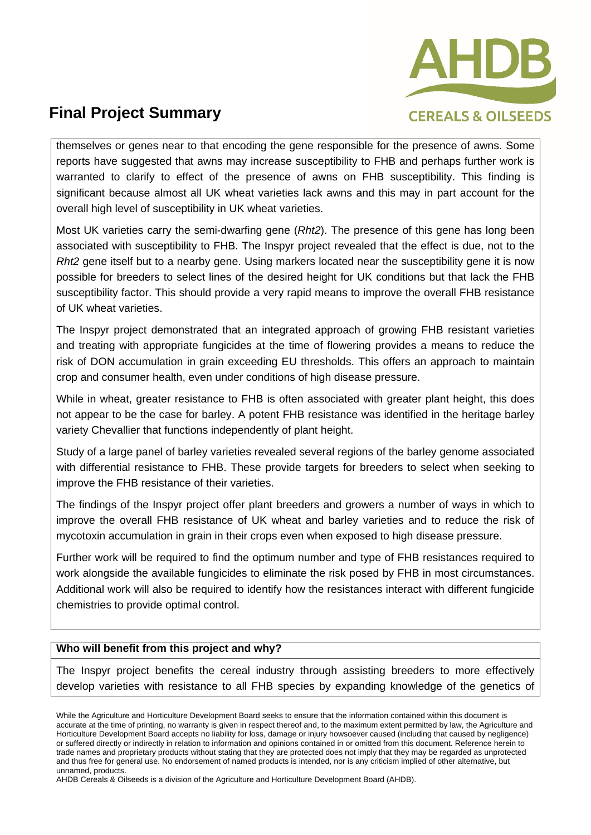

themselves or genes near to that encoding the gene responsible for the presence of awns. Some reports have suggested that awns may increase susceptibility to FHB and perhaps further work is warranted to clarify to effect of the presence of awns on FHB susceptibility. This finding is significant because almost all UK wheat varieties lack awns and this may in part account for the overall high level of susceptibility in UK wheat varieties.

Most UK varieties carry the semi-dwarfing gene (*Rht2*). The presence of this gene has long been associated with susceptibility to FHB. The Inspyr project revealed that the effect is due, not to the *Rht2* gene itself but to a nearby gene. Using markers located near the susceptibility gene it is now possible for breeders to select lines of the desired height for UK conditions but that lack the FHB susceptibility factor. This should provide a very rapid means to improve the overall FHB resistance of UK wheat varieties.

The Inspyr project demonstrated that an integrated approach of growing FHB resistant varieties and treating with appropriate fungicides at the time of flowering provides a means to reduce the risk of DON accumulation in grain exceeding EU thresholds. This offers an approach to maintain crop and consumer health, even under conditions of high disease pressure.

While in wheat, greater resistance to FHB is often associated with greater plant height, this does not appear to be the case for barley. A potent FHB resistance was identified in the heritage barley variety Chevallier that functions independently of plant height.

Study of a large panel of barley varieties revealed several regions of the barley genome associated with differential resistance to FHB. These provide targets for breeders to select when seeking to improve the FHB resistance of their varieties.

The findings of the Inspyr project offer plant breeders and growers a number of ways in which to improve the overall FHB resistance of UK wheat and barley varieties and to reduce the risk of mycotoxin accumulation in grain in their crops even when exposed to high disease pressure.

Further work will be required to find the optimum number and type of FHB resistances required to work alongside the available fungicides to eliminate the risk posed by FHB in most circumstances. Additional work will also be required to identify how the resistances interact with different fungicide chemistries to provide optimal control.

### **Who will benefit from this project and why?**

The Inspyr project benefits the cereal industry through assisting breeders to more effectively develop varieties with resistance to all FHB species by expanding knowledge of the genetics of

AHDB Cereals & Oilseeds is a division of the Agriculture and Horticulture Development Board (AHDB).

While the Agriculture and Horticulture Development Board seeks to ensure that the information contained within this document is accurate at the time of printing, no warranty is given in respect thereof and, to the maximum extent permitted by law, the Agriculture and Horticulture Development Board accepts no liability for loss, damage or injury howsoever caused (including that caused by negligence) or suffered directly or indirectly in relation to information and opinions contained in or omitted from this document. Reference herein to trade names and proprietary products without stating that they are protected does not imply that they may be regarded as unprotected and thus free for general use. No endorsement of named products is intended, nor is any criticism implied of other alternative, but unnamed, products.